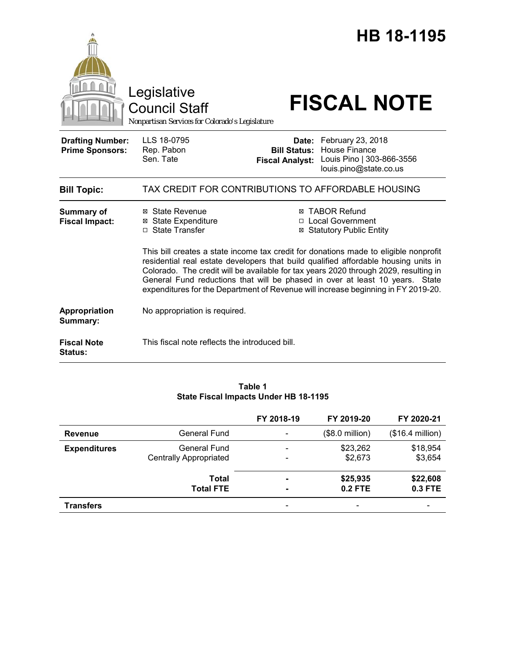|                                                   | Legislative<br>Council Staff<br>Nonpartisan Services for Colorado's Legislature                                                                                                                                                                                                                                                                                                                                                                                                                                                                                                                  | HB 18-1195<br><b>FISCAL NOTE</b>                                                                                                                        |
|---------------------------------------------------|--------------------------------------------------------------------------------------------------------------------------------------------------------------------------------------------------------------------------------------------------------------------------------------------------------------------------------------------------------------------------------------------------------------------------------------------------------------------------------------------------------------------------------------------------------------------------------------------------|---------------------------------------------------------------------------------------------------------------------------------------------------------|
| <b>Drafting Number:</b><br><b>Prime Sponsors:</b> | LLS 18-0795<br>Rep. Pabon<br>Sen. Tate                                                                                                                                                                                                                                                                                                                                                                                                                                                                                                                                                           | Date: February 23, 2018<br><b>House Finance</b><br><b>Bill Status:</b><br>Louis Pino   303-866-3556<br><b>Fiscal Analyst:</b><br>louis.pino@state.co.us |
| <b>Bill Topic:</b>                                |                                                                                                                                                                                                                                                                                                                                                                                                                                                                                                                                                                                                  | TAX CREDIT FOR CONTRIBUTIONS TO AFFORDABLE HOUSING                                                                                                      |
| <b>Summary of</b><br><b>Fiscal Impact:</b>        | <b>⊠ TABOR Refund</b><br>⊠ State Revenue<br><b>⊠</b> State Expenditure<br>□ Local Government<br>□ State Transfer<br><b>⊠ Statutory Public Entity</b><br>This bill creates a state income tax credit for donations made to eligible nonprofit<br>residential real estate developers that build qualified affordable housing units in<br>Colorado. The credit will be available for tax years 2020 through 2029, resulting in<br>General Fund reductions that will be phased in over at least 10 years. State<br>expenditures for the Department of Revenue will increase beginning in FY 2019-20. |                                                                                                                                                         |
| Appropriation<br>Summary:                         | No appropriation is required.                                                                                                                                                                                                                                                                                                                                                                                                                                                                                                                                                                    |                                                                                                                                                         |
| <b>Fiscal Note</b><br><b>Status:</b>              | This fiscal note reflects the introduced bill.                                                                                                                                                                                                                                                                                                                                                                                                                                                                                                                                                   |                                                                                                                                                         |

# **Table 1 State Fiscal Impacts Under HB 18-1195**

|                     |                                                      | FY 2018-19 | FY 2019-20            | FY 2020-21            |
|---------------------|------------------------------------------------------|------------|-----------------------|-----------------------|
| <b>Revenue</b>      | <b>General Fund</b>                                  |            | $($8.0$ million)      | $($16.4$ million)     |
| <b>Expenditures</b> | <b>General Fund</b><br><b>Centrally Appropriated</b> |            | \$23,262<br>\$2,673   | \$18,954<br>\$3,654   |
|                     | Total<br><b>Total FTE</b>                            |            | \$25,935<br>$0.2$ FTE | \$22,608<br>$0.3$ FTE |
| <b>Transfers</b>    |                                                      |            |                       |                       |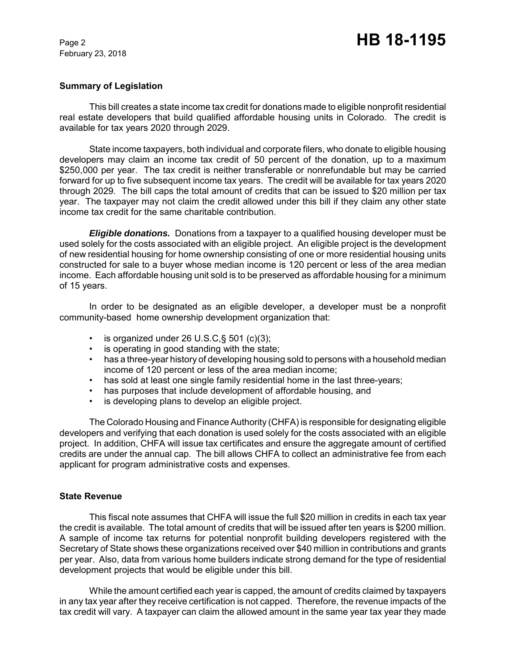### **Summary of Legislation**

This bill creates a state income tax credit for donations made to eligible nonprofit residential real estate developers that build qualified affordable housing units in Colorado. The credit is available for tax years 2020 through 2029.

State income taxpayers, both individual and corporate filers, who donate to eligible housing developers may claim an income tax credit of 50 percent of the donation, up to a maximum \$250,000 per year. The tax credit is neither transferable or nonrefundable but may be carried forward for up to five subsequent income tax years. The credit will be available for tax years 2020 through 2029. The bill caps the total amount of credits that can be issued to \$20 million per tax year. The taxpayer may not claim the credit allowed under this bill if they claim any other state income tax credit for the same charitable contribution.

*Eligible donations.* Donations from a taxpayer to a qualified housing developer must be used solely for the costs associated with an eligible project. An eligible project is the development of new residential housing for home ownership consisting of one or more residential housing units constructed for sale to a buyer whose median income is 120 percent or less of the area median income. Each affordable housing unit sold is to be preserved as affordable housing for a minimum of 15 years.

In order to be designated as an eligible developer, a developer must be a nonprofit community-based home ownership development organization that:

- is organized under 26 U.S.C. § 501 (c)(3);
- is operating in good standing with the state;
- has a three-year history of developing housing sold to persons with a household median income of 120 percent or less of the area median income;
- has sold at least one single family residential home in the last three-years;
- has purposes that include development of affordable housing, and
- is developing plans to develop an eligible project.

The Colorado Housing and Finance Authority (CHFA) is responsible for designating eligible developers and verifying that each donation is used solely for the costs associated with an eligible project. In addition, CHFA will issue tax certificates and ensure the aggregate amount of certified credits are under the annual cap. The bill allows CHFA to collect an administrative fee from each applicant for program administrative costs and expenses.

#### **State Revenue**

This fiscal note assumes that CHFA will issue the full \$20 million in credits in each tax year the credit is available. The total amount of credits that will be issued after ten years is \$200 million. A sample of income tax returns for potential nonprofit building developers registered with the Secretary of State shows these organizations received over \$40 million in contributions and grants per year. Also, data from various home builders indicate strong demand for the type of residential development projects that would be eligible under this bill.

While the amount certified each year is capped, the amount of credits claimed by taxpayers in any tax year after they receive certification is not capped. Therefore, the revenue impacts of the tax credit will vary. A taxpayer can claim the allowed amount in the same year tax year they made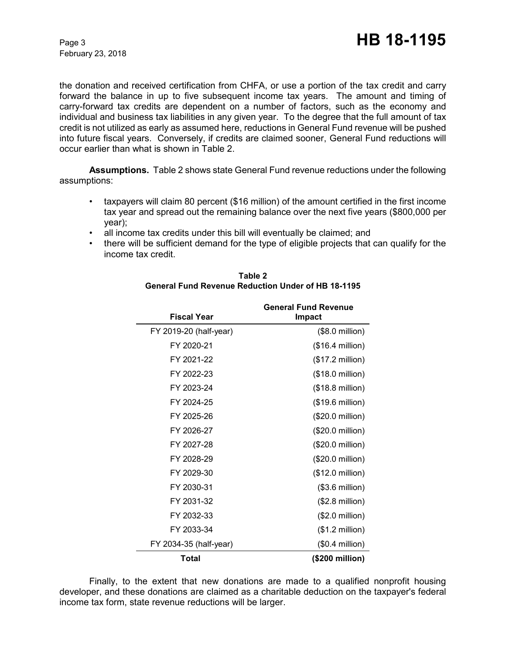the donation and received certification from CHFA, or use a portion of the tax credit and carry forward the balance in up to five subsequent income tax years. The amount and timing of carry-forward tax credits are dependent on a number of factors, such as the economy and individual and business tax liabilities in any given year. To the degree that the full amount of tax credit is not utilized as early as assumed here, reductions in General Fund revenue will be pushed into future fiscal years. Conversely, if credits are claimed sooner, General Fund reductions will occur earlier than what is shown in Table 2.

**Assumptions.**Table 2 shows state General Fund revenue reductions under the following assumptions:

- taxpayers will claim 80 percent (\$16 million) of the amount certified in the first income tax year and spread out the remaining balance over the next five years (\$800,000 per year);
- all income tax credits under this bill will eventually be claimed; and
- there will be sufficient demand for the type of eligible projects that can qualify for the income tax credit.

| <b>Fiscal Year</b>     | <b>General Fund Revenue</b><br>Impact |
|------------------------|---------------------------------------|
| FY 2019-20 (half-year) | $($8.0 \text{ million})$              |
| FY 2020-21             | $($16.4$ million)                     |
| FY 2021-22             | $($17.2 \text{ million})$             |
| FY 2022-23             | (\$18.0 million)                      |
| FY 2023-24             | $($18.8 \text{ million})$             |
| FY 2024-25             | (\$19.6 million)                      |
| FY 2025-26             | (\$20.0 million)                      |
| FY 2026-27             | (\$20.0 million)                      |
| FY 2027-28             | (\$20.0 million)                      |
| FY 2028-29             | (\$20.0 million)                      |
| FY 2029-30             | (\$12.0 million)                      |
| FY 2030-31             | $($3.6 \text{ million})$              |
| FY 2031-32             | $($2.8 \text{ million})$              |
| FY 2032-33             | $($2.0 \text{ million})$              |
| FY 2033-34             | $($1.2 \text{ million})$              |
| FY 2034-35 (half-year) | $($0.4$ million)                      |
| Total                  | (\$200 million)                       |

#### **Table 2 General Fund Revenue Reduction Under of HB 18-1195**

Finally, to the extent that new donations are made to a qualified nonprofit housing developer, and these donations are claimed as a charitable deduction on the taxpayer's federal income tax form, state revenue reductions will be larger.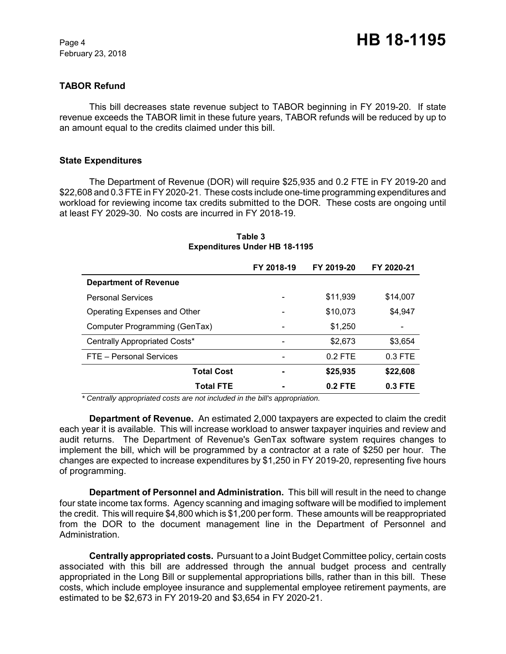# **TABOR Refund**

This bill decreases state revenue subject to TABOR beginning in FY 2019-20. If state revenue exceeds the TABOR limit in these future years, TABOR refunds will be reduced by up to an amount equal to the credits claimed under this bill.

#### **State Expenditures**

The Department of Revenue (DOR) will require \$25,935 and 0.2 FTE in FY 2019-20 and \$22,608 and 0.3 FTE in FY 2020-21. These costs include one-time programming expenditures and workload for reviewing income tax credits submitted to the DOR. These costs are ongoing until at least FY 2029-30. No costs are incurred in FY 2018-19.

|                               | FY 2018-19 | FY 2019-20 | FY 2020-21 |
|-------------------------------|------------|------------|------------|
| <b>Department of Revenue</b>  |            |            |            |
| <b>Personal Services</b>      |            | \$11,939   | \$14,007   |
| Operating Expenses and Other  |            | \$10,073   | \$4,947    |
| Computer Programming (GenTax) |            | \$1,250    |            |
| Centrally Appropriated Costs* |            | \$2,673    | \$3,654    |
| FTE - Personal Services       |            | $0.2$ FTE  | $0.3$ FTE  |
| <b>Total Cost</b>             |            | \$25,935   | \$22,608   |
| <b>Total FTE</b>              |            | $0.2$ FTE  | $0.3$ FTE  |

# **Table 3 Expenditures Under HB 18-1195**

 *\* Centrally appropriated costs are not included in the bill's appropriation.*

**Department of Revenue.** An estimated 2,000 taxpayers are expected to claim the credit each year it is available. This will increase workload to answer taxpayer inquiries and review and audit returns. The Department of Revenue's GenTax software system requires changes to implement the bill, which will be programmed by a contractor at a rate of \$250 per hour. The changes are expected to increase expenditures by \$1,250 in FY 2019-20, representing five hours of programming.

**Department of Personnel and Administration.** This bill will result in the need to change four state income tax forms. Agency scanning and imaging software will be modified to implement the credit. This will require \$4,800 which is \$1,200 per form. These amounts will be reappropriated from the DOR to the document management line in the Department of Personnel and Administration.

**Centrally appropriated costs.** Pursuant to a Joint Budget Committee policy, certain costs associated with this bill are addressed through the annual budget process and centrally appropriated in the Long Bill or supplemental appropriations bills, rather than in this bill. These costs, which include employee insurance and supplemental employee retirement payments, are estimated to be \$2,673 in FY 2019-20 and \$3,654 in FY 2020-21.